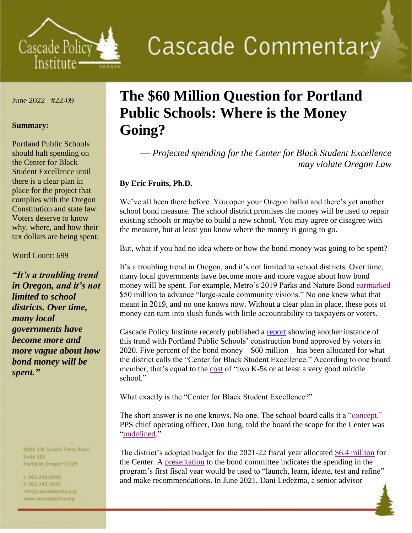

**Cascade Commentary** 

June 2022 #22-09

## **Summary:**

Portland Public Schools should halt spending on the Center for Black Student Excellence until there is a clear plan in place for the project that complies with the Oregon Constitution and state law. Voters deserve to know why, where, and how their tax dollars are being spent.

## Word Count: 699

*"It's a troubling trend in Oregon, and it's not limited to school districts. Over time, many local governments have become more and more vague about how bond money will be spent."*

> 4B50 SW Scholls Ferry Road **Suite 103**

- Portland, Oregon 97225
- t:503,242.0900 1:503.242.3822 info@cascadepolicy.org www.cascadepolicy.org

## **The \$60 Million Question for Portland Public Schools: Where is the Money Going?**

— *Projected spending for the Center for Black Student Excellence may violate Oregon Law*

## **By Eric Fruits, Ph.D.**

We've all been there before. You open your Oregon ballot and there's yet another school bond measure. The school district promises the money will be used to repair existing schools or maybe to build a new school. You may agree or disagree with the measure, but at least you know where the money is going to go.

But, what if you had no idea where or how the bond money was going to be spent?

It's a troubling trend in Oregon, and it's not limited to school districts. Over time, many local governments have become more and more vague about how bond money will be spent. For example, Metro's 2019 Parks and Nature Bond [earmarked](https://www.oregonmetro.gov/public-projects/parks-and-nature-bond-measure) \$50 million to advance "large-scale community visions." No one knew what that meant in 2019, and no one knows now. Without a clear plan in place, these pots of money can turn into slush funds with little accountability to taxpayers or voters.

Cascade Policy Institute recently published a [report](https://cascadepolicy.org/reports/the-60-million-question-what-is-the-center-for-black-student-excellence/) showing another instance of this trend with Portland Public Schools' construction bond approved by voters in 2020. Five percent of the bond money—\$60 million—has been allocated for what the district calls the "Center for Black Student Excellence." According to one board member, that's equal to the [cost](https://youtu.be/mbrgl2fvTbI) of "two K-5s or at least a very good middle school."

What exactly is the "Center for Black Student Excellence?"

The short answer is no one knows. No one. The school board calls it a ["concept.](https://meetings.boardbook.org/Public/Agenda/915?meeting=361242)" PPS chief operating officer, Dan Jung, told the board the scope for the Center was ["undefined.](https://www.pps.net/cms/lib/OR01913224/Centricity/Domain/219/2020_07_14_Bond%20Documents%20Combined.pdf)"

The district's adopted budget for the 2021-22 fiscal year allocated [\\$6.4 million](https://www.pps.net/cms/lib/OR01913224/Centricity/Domain/214/2022%20Adopted%20Budget%20-%20Volume%201.pdf) for the Center. A [presentation](https://meetings.boardbook.org/Public/Agenda/915?meeting=471664) to the bond committee indicates the spending in the program's first fiscal year would be used to "launch, learn, ideate, test and refine" and make recommendations. In June 2021, Dani Ledezma, a senior advisor